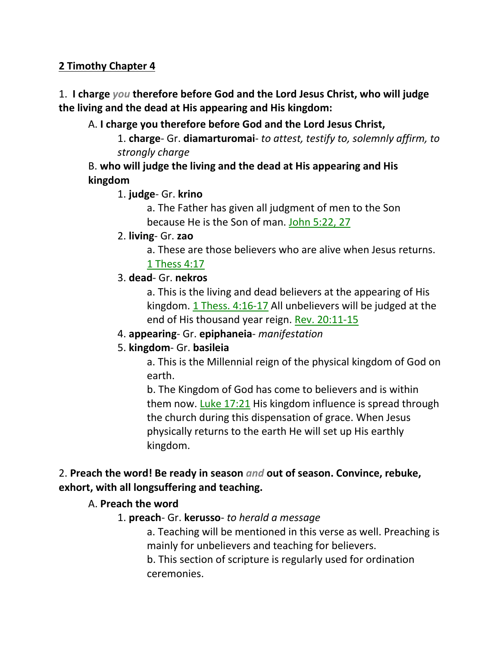# **2 Timothy Chapter 4**

# 1. **I charge** *you* **therefore before God and the Lord Jesus Christ, who will judge the living and the dead at His appearing and His kingdom:**

# A. **I charge you therefore before God and the Lord Jesus Christ,**

1. **charge**- Gr. **diamarturomai**- *to attest, testify to, solemnly affirm, to strongly charge*

# B. **who will judge the living and the dead at His appearing and His kingdom**

# 1. **judge**- Gr. **krino**

a. The Father has given all judgment of men to the Son because He is the Son of man. John 5:22, 27

## 2. **living**- Gr. **zao**

a. These are those believers who are alive when Jesus returns. 1 Thess 4:17

# 3. **dead**- Gr. **nekros**

a. This is the living and dead believers at the appearing of His kingdom. 1 Thess. 4:16-17 All unbelievers will be judged at the end of His thousand year reign. Rev. 20:11-15

# 4. **appearing**- Gr. **epiphaneia**- *manifestation*

# 5. **kingdom**- Gr. **basileia**

a. This is the Millennial reign of the physical kingdom of God on earth.

b. The Kingdom of God has come to believers and is within them now. Luke 17:21 His kingdom influence is spread through the church during this dispensation of grace. When Jesus physically returns to the earth He will set up His earthly kingdom.

# 2. **Preach the word! Be ready in season** *and* **out of season. Convince, rebuke, exhort, with all longsuffering and teaching.**

# A. **Preach the word**

# 1. **preach**- Gr. **kerusso**- *to herald a message*

a. Teaching will be mentioned in this verse as well. Preaching is mainly for unbelievers and teaching for believers.

b. This section of scripture is regularly used for ordination ceremonies.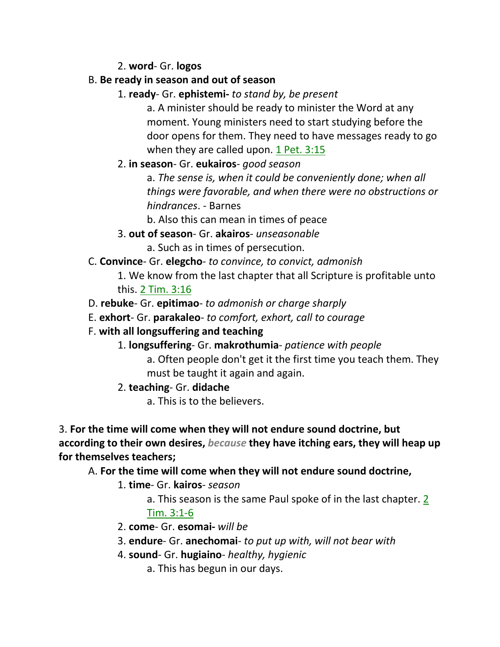2. **word**- Gr. **logos**

# B. **Be ready in season and out of season**

1. **ready**- Gr. **ephistemi-** *to stand by, be present*

a. A minister should be ready to minister the Word at any moment. Young ministers need to start studying before the door opens for them. They need to have messages ready to go when they are called upon. 1 Pet. 3:15

# 2. **in season**- Gr. **eukairos**- *good season*

a. *The sense is, when it could be conveniently done; when all things were favorable, and when there were no obstructions or hindrances*. - Barnes

b. Also this can mean in times of peace

3. **out of season**- Gr. **akairos**- *unseasonable*

a. Such as in times of persecution.

# C. **Convince**- Gr. **elegcho**- *to convince, to convict, admonish*

1. We know from the last chapter that all Scripture is profitable unto this. 2 Tim. 3:16

- D. **rebuke** Gr. **epitimao** *to admonish or charge sharply*
- E. **exhort** Gr. **parakaleo** *to comfort, exhort, call to courage*

# F. **with all longsuffering and teaching**

- 1. **longsuffering** Gr. **makrothumia** *patience with people*
	- a. Often people don't get it the first time you teach them. They must be taught it again and again.
- 2. **teaching** Gr. **didache**

a. This is to the believers.

3. **For the time will come when they will not endure sound doctrine, but according to their own desires,** *because* **they have itching ears, they will heap up for themselves teachers;** 

# A. **For the time will come when they will not endure sound doctrine,**

1. **time**- Gr. **kairos**- *season*

a. This season is the same Paul spoke of in the last chapter. 2 Tim. 3:1-6

- 2. **come** Gr. **esomai-** *will be*
- 3. **endure** Gr. **anechomai** *to put up with, will not bear with*
- 4. **sound** Gr. **hugiaino** *healthy, hygienic*
	- a. This has begun in our days.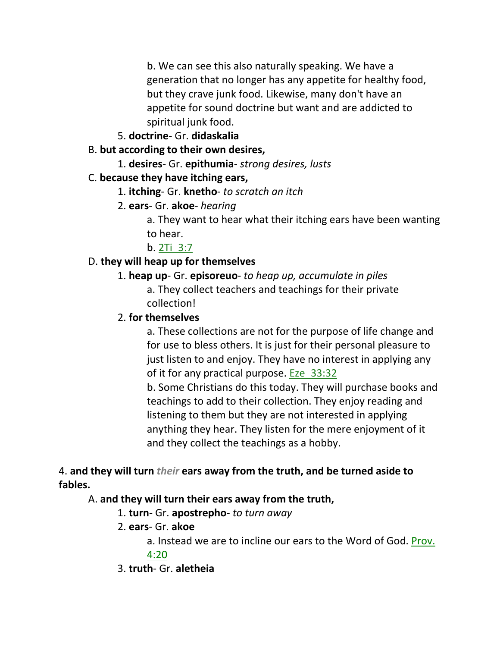b. We can see this also naturally speaking. We have a generation that no longer has any appetite for healthy food, but they crave junk food. Likewise, many don't have an appetite for sound doctrine but want and are addicted to spiritual junk food.

5. **doctrine**- Gr. **didaskalia**

# B. **but according to their own desires,**

1. **desires**- Gr. **epithumia**- *strong desires, lusts*

# C. **because they have itching ears,**

- 1. **itching** Gr. **knetho** *to scratch an itch*
- 2. **ears** Gr. **akoe** *hearing*
	- a. They want to hear what their itching ears have been wanting to hear.

b. 2Ti\_3:7

# D. **they will heap up for themselves**

## 1. **heap up**- Gr. **episoreuo**- *to heap up, accumulate in piles* a. They collect teachers and teachings for their private collection!

# 2. **for themselves**

a. These collections are not for the purpose of life change and for use to bless others. It is just for their personal pleasure to just listen to and enjoy. They have no interest in applying any of it for any practical purpose. Eze\_33:32

b. Some Christians do this today. They will purchase books and teachings to add to their collection. They enjoy reading and listening to them but they are not interested in applying anything they hear. They listen for the mere enjoyment of it and they collect the teachings as a hobby.

# 4. **and they will turn** *their* **ears away from the truth, and be turned aside to fables.**

# A. **and they will turn their ears away from the truth,**

- 1. **turn** Gr. **apostrepho** *to turn away*
- 2. **ears** Gr. **akoe**
	- a. Instead we are to incline our ears to the Word of God. Prov.

# 4:20

# 3. **truth**- Gr. **aletheia**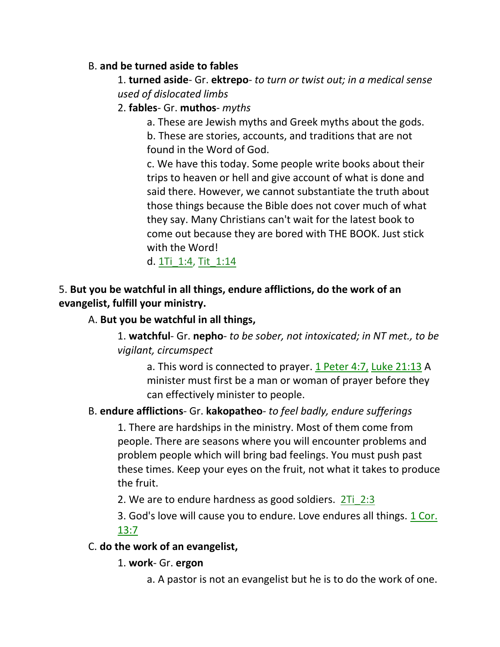## B. **and be turned aside to fables**

1. **turned aside**- Gr. **ektrepo**- *to turn or twist out; in a medical sense used of dislocated limbs*

## 2. **fables**- Gr. **muthos**- *myths*

a. These are Jewish myths and Greek myths about the gods. b. These are stories, accounts, and traditions that are not found in the Word of God.

c. We have this today. Some people write books about their trips to heaven or hell and give account of what is done and said there. However, we cannot substantiate the truth about those things because the Bible does not cover much of what they say. Many Christians can't wait for the latest book to come out because they are bored with THE BOOK. Just stick with the Word!

d. 1Ti\_1:4, Tit\_1:14

# 5. **But you be watchful in all things, endure afflictions, do the work of an evangelist, fulfill your ministry.**

## A. **But you be watchful in all things,**

1. **watchful**- Gr. **nepho**- *to be sober, not intoxicated; in NT met., to be vigilant, circumspect*

a. This word is connected to prayer. 1 Peter 4:7, Luke 21:13 A minister must first be a man or woman of prayer before they can effectively minister to people.

# B. **endure afflictions**- Gr. **kakopatheo**- *to feel badly, endure sufferings*

1. There are hardships in the ministry. Most of them come from people. There are seasons where you will encounter problems and problem people which will bring bad feelings. You must push past these times. Keep your eyes on the fruit, not what it takes to produce the fruit.

2. We are to endure hardness as good soldiers. 2Ti\_2:3

3. God's love will cause you to endure. Love endures all things. 1 Cor. 13:7

### C. **do the work of an evangelist,**

### 1. **work**- Gr. **ergon**

a. A pastor is not an evangelist but he is to do the work of one.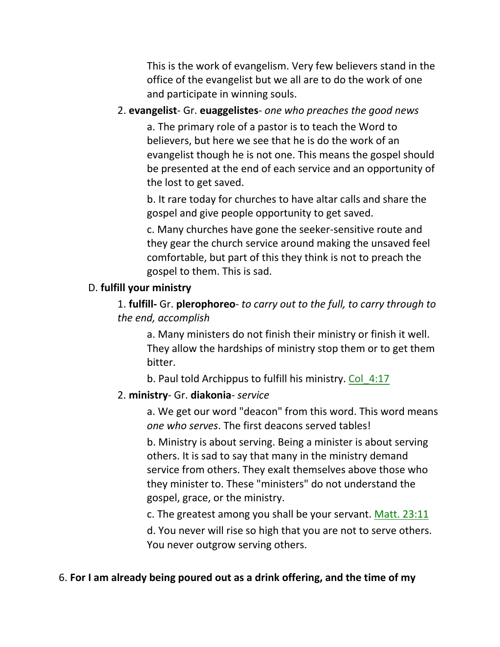This is the work of evangelism. Very few believers stand in the office of the evangelist but we all are to do the work of one and participate in winning souls.

## 2. **evangelist**- Gr. **euaggelistes**- *one who preaches the good news*

a. The primary role of a pastor is to teach the Word to believers, but here we see that he is do the work of an evangelist though he is not one. This means the gospel should be presented at the end of each service and an opportunity of the lost to get saved.

b. It rare today for churches to have altar calls and share the gospel and give people opportunity to get saved.

c. Many churches have gone the seeker-sensitive route and they gear the church service around making the unsaved feel comfortable, but part of this they think is not to preach the gospel to them. This is sad.

### D. **fulfill your ministry**

1. **fulfill-** Gr. **plerophoreo**- *to carry out to the full, to carry through to the end, accomplish*

a. Many ministers do not finish their ministry or finish it well. They allow the hardships of ministry stop them or to get them bitter.

b. Paul told Archippus to fulfill his ministry. Col\_4:17

# 2. **ministry**- Gr. **diakonia**- *service*

a. We get our word "deacon" from this word. This word means *one who serves*. The first deacons served tables!

b. Ministry is about serving. Being a minister is about serving others. It is sad to say that many in the ministry demand service from others. They exalt themselves above those who they minister to. These "ministers" do not understand the gospel, grace, or the ministry.

c. The greatest among you shall be your servant. Matt. 23:11

d. You never will rise so high that you are not to serve others. You never outgrow serving others.

### 6. **For I am already being poured out as a drink offering, and the time of my**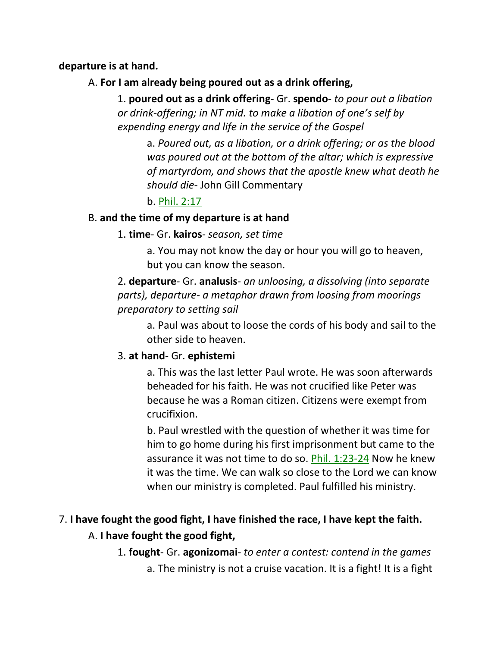#### **departure is at hand.**

### A. **For I am already being poured out as a drink offering,**

1. **poured out as a drink offering**- Gr. **spendo**- *to pour out a libation or drink-offering; in NT mid. to make a libation of one's self by expending energy and life in the service of the Gospel*

a. *Poured out, as a libation, or a drink offering; or as the blood was poured out at the bottom of the altar; which is expressive of martyrdom, and shows that the apostle knew what death he should die-* John Gill Commentary

# b. Phil. 2:17

### B. **and the time of my departure is at hand**

### 1. **time**- Gr. **kairos**- *season, set time*

a. You may not know the day or hour you will go to heaven, but you can know the season.

# 2. **departure**- Gr. **analusis**- *an unloosing, a dissolving (into separate parts), departure- a metaphor drawn from loosing from moorings preparatory to setting sail*

a. Paul was about to loose the cords of his body and sail to the other side to heaven.

### 3. **at hand**- Gr. **ephistemi**

a. This was the last letter Paul wrote. He was soon afterwards beheaded for his faith. He was not crucified like Peter was because he was a Roman citizen. Citizens were exempt from crucifixion.

b. Paul wrestled with the question of whether it was time for him to go home during his first imprisonment but came to the assurance it was not time to do so. Phil. 1:23-24 Now he knew it was the time. We can walk so close to the Lord we can know when our ministry is completed. Paul fulfilled his ministry.

# 7. **I have fought the good fight, I have finished the race, I have kept the faith.**

# A. **I have fought the good fight,**

1. **fought**- Gr. **agonizomai**- *to enter a contest: contend in the games*

a. The ministry is not a cruise vacation. It is a fight! It is a fight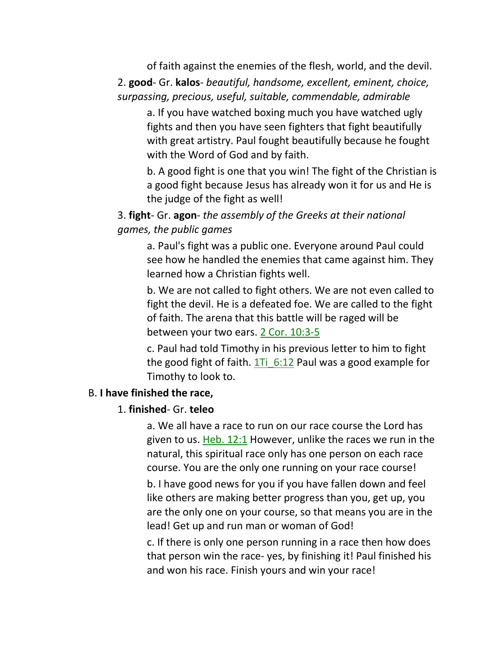of faith against the enemies of the flesh, world, and the devil. 2. **good**- Gr. **kalos**- *beautiful, handsome, excellent, eminent, choice, surpassing, precious, useful, suitable, commendable, admirable*

a. If you have watched boxing much you have watched ugly fights and then you have seen fighters that fight beautifully with great artistry. Paul fought beautifully because he fought with the Word of God and by faith.

b. A good fight is one that you win! The fight of the Christian is a good fight because Jesus has already won it for us and He is the judge of the fight as well!

## 3. **fight**- Gr. **agon**- *the assembly of the Greeks at their national games, the public games*

a. Paul's fight was a public one. Everyone around Paul could see how he handled the enemies that came against him. They learned how a Christian fights well.

b. We are not called to fight others. We are not even called to fight the devil. He is a defeated foe. We are called to the fight of faith. The arena that this battle will be raged will be between your two ears. 2 Cor. 10:3-5

c. Paul had told Timothy in his previous letter to him to fight the good fight of faith.  $1T_i$  6:12 Paul was a good example for Timothy to look to.

#### B. **I have finished the race,**

#### 1. **finished**- Gr. **teleo**

a. We all have a race to run on our race course the Lord has given to us. Heb. 12:1 However, unlike the races we run in the natural, this spiritual race only has one person on each race course. You are the only one running on your race course!

b. I have good news for you if you have fallen down and feel like others are making better progress than you, get up, you are the only one on your course, so that means you are in the lead! Get up and run man or woman of God!

c. If there is only one person running in a race then how does that person win the race- yes, by finishing it! Paul finished his and won his race. Finish yours and win your race!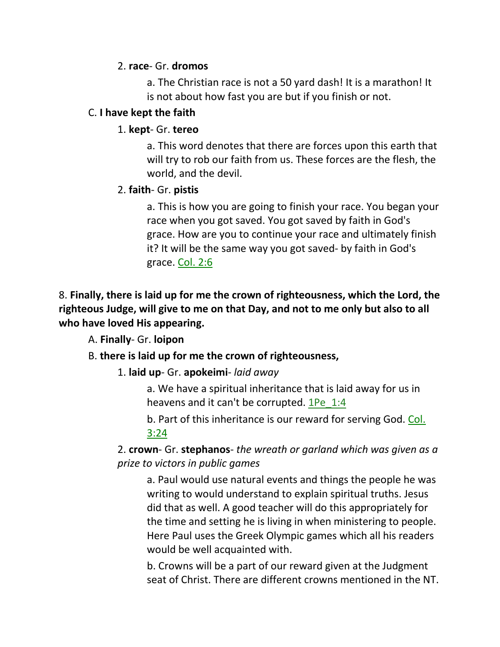## 2. **race**- Gr. **dromos**

a. The Christian race is not a 50 yard dash! It is a marathon! It is not about how fast you are but if you finish or not.

## C. **I have kept the faith**

## 1. **kept**- Gr. **tereo**

a. This word denotes that there are forces upon this earth that will try to rob our faith from us. These forces are the flesh, the world, and the devil.

## 2. **faith**- Gr. **pistis**

a. This is how you are going to finish your race. You began your race when you got saved. You got saved by faith in God's grace. How are you to continue your race and ultimately finish it? It will be the same way you got saved- by faith in God's grace. Col. 2:6

# 8. **Finally, there is laid up for me the crown of righteousness, which the Lord, the righteous Judge, will give to me on that Day, and not to me only but also to all who have loved His appearing.**

A. **Finally**- Gr. **loipon**

# B. **there is laid up for me the crown of righteousness,**

1. **laid up**- Gr. **apokeimi**- *laid away*

a. We have a spiritual inheritance that is laid away for us in heavens and it can't be corrupted. 1Pe 1:4

b. Part of this inheritance is our reward for serving God. Col. 3:24

2. **crown**- Gr. **stephanos**- *the wreath or garland which was given as a prize to victors in public games*

a. Paul would use natural events and things the people he was writing to would understand to explain spiritual truths. Jesus did that as well. A good teacher will do this appropriately for the time and setting he is living in when ministering to people. Here Paul uses the Greek Olympic games which all his readers would be well acquainted with.

b. Crowns will be a part of our reward given at the Judgment seat of Christ. There are different crowns mentioned in the NT.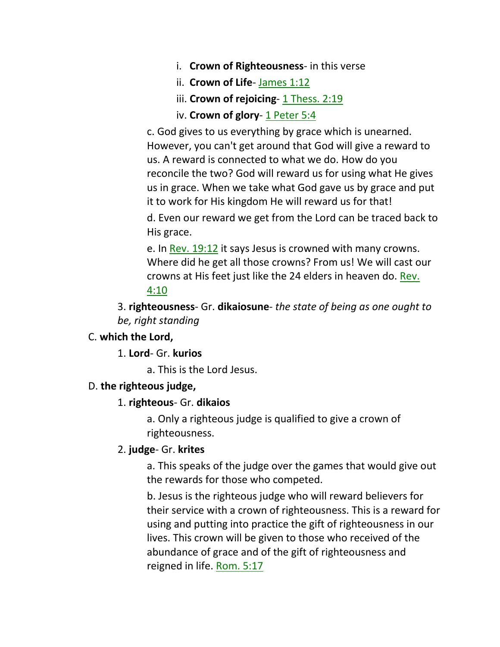- i. **Crown of Righteousness** in this verse
- ii. **Crown of Life** James 1:12
- iii. **Crown of rejoicing** 1 Thess. 2:19
- iv. **Crown of glory** 1 Peter 5:4

c. God gives to us everything by grace which is unearned. However, you can't get around that God will give a reward to us. A reward is connected to what we do. How do you reconcile the two? God will reward us for using what He gives us in grace. When we take what God gave us by grace and put it to work for His kingdom He will reward us for that!

d. Even our reward we get from the Lord can be traced back to His grace.

e. In Rev. 19:12 it says Jesus is crowned with many crowns. Where did he get all those crowns? From us! We will cast our crowns at His feet just like the 24 elders in heaven do. Rev. 4:10

3. **righteousness**- Gr. **dikaiosune**- *the state of being as one ought to be, right standing* 

#### C. **which the Lord,**

1. **Lord**- Gr. **kurios**

a. This is the Lord Jesus.

#### D. **the righteous judge,**

#### 1. **righteous**- Gr. **dikaios**

a. Only a righteous judge is qualified to give a crown of righteousness.

#### 2. **judge**- Gr. **krites**

a. This speaks of the judge over the games that would give out the rewards for those who competed.

b. Jesus is the righteous judge who will reward believers for their service with a crown of righteousness. This is a reward for using and putting into practice the gift of righteousness in our lives. This crown will be given to those who received of the abundance of grace and of the gift of righteousness and reigned in life. Rom. 5:17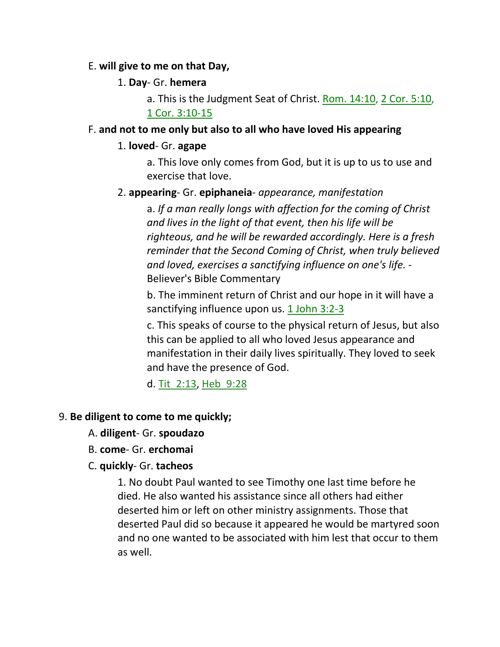#### E. **will give to me on that Day,**

#### 1. **Day**- Gr. **hemera**

a. This is the Judgment Seat of Christ. Rom. 14:10, 2 Cor. 5:10, 1 Cor. 3:10-15

### F. **and not to me only but also to all who have loved His appearing**

#### 1. **loved**- Gr. **agape**

a. This love only comes from God, but it is up to us to use and exercise that love.

### 2. **appearing**- Gr. **epiphaneia**- *appearance, manifestation*

a. *If a man really longs with affection for the coming of Christ and lives in the light of that event, then his life will be righteous, and he will be rewarded accordingly. Here is a fresh reminder that the Second Coming of Christ, when truly believed and loved, exercises a sanctifying influence on one's life.* - Believer's Bible Commentary

b. The imminent return of Christ and our hope in it will have a sanctifying influence upon us. 1 John 3:2-3

c. This speaks of course to the physical return of Jesus, but also this can be applied to all who loved Jesus appearance and manifestation in their daily lives spiritually. They loved to seek and have the presence of God.

d. Tit\_2:13, Heb\_9:28

### 9. **Be diligent to come to me quickly;**

- A. **diligent** Gr. **spoudazo**
- B. **come** Gr. **erchomai**

#### C. **quickly**- Gr. **tacheos**

1. No doubt Paul wanted to see Timothy one last time before he died. He also wanted his assistance since all others had either deserted him or left on other ministry assignments. Those that deserted Paul did so because it appeared he would be martyred soon and no one wanted to be associated with him lest that occur to them as well.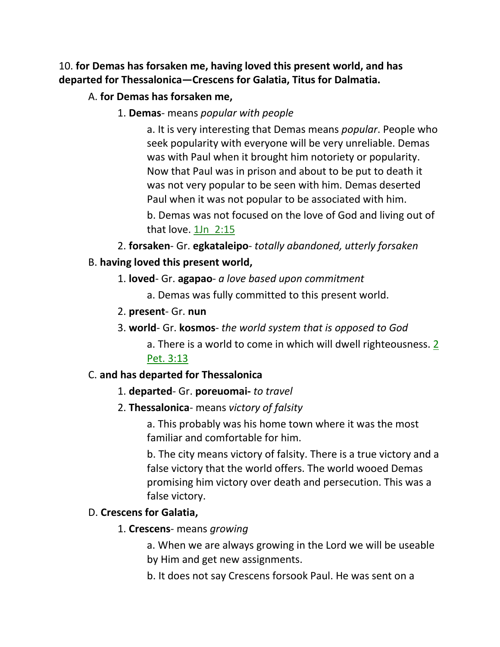# 10. **for Demas has forsaken me, having loved this present world, and has departed for Thessalonica—Crescens for Galatia, Titus for Dalmatia.**

# A. **for Demas has forsaken me,**

1. **Demas**- means *popular with people*

a. It is very interesting that Demas means *popular*. People who seek popularity with everyone will be very unreliable. Demas was with Paul when it brought him notoriety or popularity. Now that Paul was in prison and about to be put to death it was not very popular to be seen with him. Demas deserted Paul when it was not popular to be associated with him.

b. Demas was not focused on the love of God and living out of that love. 1Jn 2:15

2. **forsaken**- Gr. **egkataleipo**- *totally abandoned, utterly forsaken*

# B. **having loved this present world,**

1. **loved**- Gr. **agapao**- *a love based upon commitment*

a. Demas was fully committed to this present world.

- 2. **present** Gr. **nun**
- 3. **world** Gr. **kosmos** *the world system that is opposed to God*

a. There is a world to come in which will dwell righteousness. 2 Pet. 3:13

# C. **and has departed for Thessalonica**

- 1. **departed** Gr. **poreuomai-** *to travel*
- 2. **Thessalonica** means *victory of falsity*

a. This probably was his home town where it was the most familiar and comfortable for him.

b. The city means victory of falsity. There is a true victory and a false victory that the world offers. The world wooed Demas promising him victory over death and persecution. This was a false victory.

# D. **Crescens for Galatia,**

1. **Crescens**- means *growing*

a. When we are always growing in the Lord we will be useable by Him and get new assignments.

b. It does not say Crescens forsook Paul. He was sent on a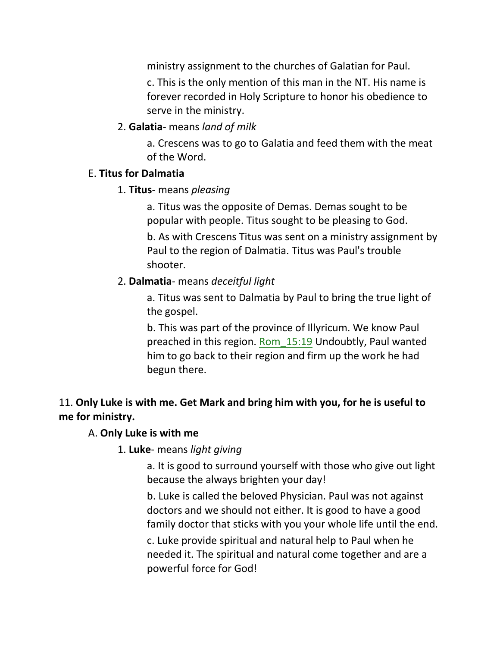ministry assignment to the churches of Galatian for Paul. c. This is the only mention of this man in the NT. His name is forever recorded in Holy Scripture to honor his obedience to serve in the ministry.

## 2. **Galatia**- means *land of milk*

a. Crescens was to go to Galatia and feed them with the meat of the Word.

### E. **Titus for Dalmatia**

## 1. **Titus**- means *pleasing*

a. Titus was the opposite of Demas. Demas sought to be popular with people. Titus sought to be pleasing to God. b. As with Crescens Titus was sent on a ministry assignment by Paul to the region of Dalmatia. Titus was Paul's trouble shooter.

# 2. **Dalmatia**- means *deceitful light*

a. Titus was sent to Dalmatia by Paul to bring the true light of the gospel.

b. This was part of the province of Illyricum. We know Paul preached in this region. Rom\_15:19 Undoubtly, Paul wanted him to go back to their region and firm up the work he had begun there.

# 11. **Only Luke is with me. Get Mark and bring him with you, for he is useful to me for ministry.**

# A. **Only Luke is with me**

1. **Luke**- means *light giving*

a. It is good to surround yourself with those who give out light because the always brighten your day!

b. Luke is called the beloved Physician. Paul was not against doctors and we should not either. It is good to have a good family doctor that sticks with you your whole life until the end.

c. Luke provide spiritual and natural help to Paul when he needed it. The spiritual and natural come together and are a powerful force for God!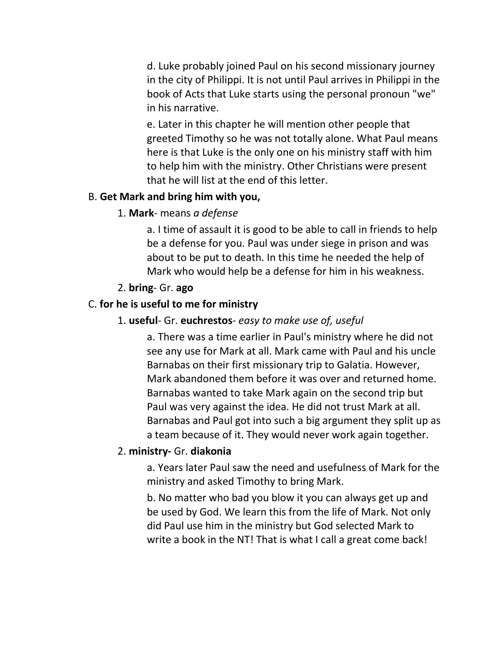d. Luke probably joined Paul on his second missionary journey in the city of Philippi. It is not until Paul arrives in Philippi in the book of Acts that Luke starts using the personal pronoun "we" in his narrative.

e. Later in this chapter he will mention other people that greeted Timothy so he was not totally alone. What Paul means here is that Luke is the only one on his ministry staff with him to help him with the ministry. Other Christians were present that he will list at the end of this letter.

#### B. **Get Mark and bring him with you,**

#### 1. **Mark**- means *a defense*

a. I time of assault it is good to be able to call in friends to help be a defense for you. Paul was under siege in prison and was about to be put to death. In this time he needed the help of Mark who would help be a defense for him in his weakness.

#### 2. **bring**- Gr. **ago**

### C. **for he is useful to me for ministry**

#### 1. **useful**- Gr. **euchrestos**- *easy to make use of, useful*

a. There was a time earlier in Paul's ministry where he did not see any use for Mark at all. Mark came with Paul and his uncle Barnabas on their first missionary trip to Galatia. However, Mark abandoned them before it was over and returned home. Barnabas wanted to take Mark again on the second trip but Paul was very against the idea. He did not trust Mark at all. Barnabas and Paul got into such a big argument they split up as a team because of it. They would never work again together.

#### 2. **ministry-** Gr. **diakonia**

a. Years later Paul saw the need and usefulness of Mark for the ministry and asked Timothy to bring Mark.

b. No matter who bad you blow it you can always get up and be used by God. We learn this from the life of Mark. Not only did Paul use him in the ministry but God selected Mark to write a book in the NT! That is what I call a great come back!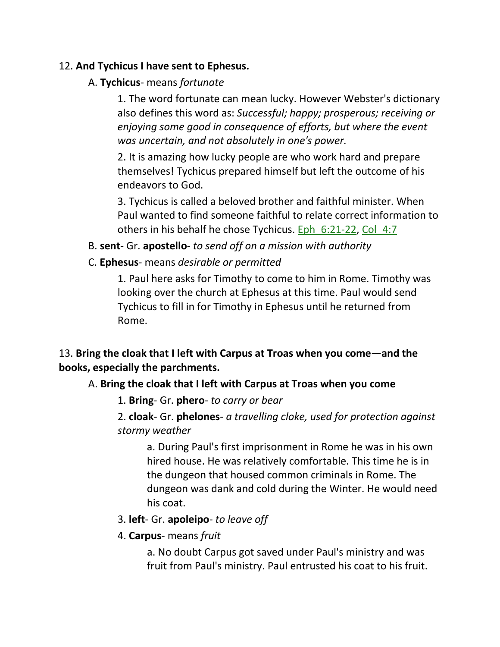## 12. **And Tychicus I have sent to Ephesus.**

## A. **Tychicus**- means *fortunate*

1. The word fortunate can mean lucky. However Webster's dictionary also defines this word as: *Successful; happy; prosperous; receiving or enjoying some good in consequence of efforts, but where the event was uncertain, and not absolutely in one's power.*

2. It is amazing how lucky people are who work hard and prepare themselves! Tychicus prepared himself but left the outcome of his endeavors to God.

3. Tychicus is called a beloved brother and faithful minister. When Paul wanted to find someone faithful to relate correct information to others in his behalf he chose Tychicus. Eph 6:21-22, Col 4:7

- B. **sent** Gr. **apostello** *to send off on a mission with authority*
- C. **Ephesus** means *desirable or permitted*

1. Paul here asks for Timothy to come to him in Rome. Timothy was looking over the church at Ephesus at this time. Paul would send Tychicus to fill in for Timothy in Ephesus until he returned from Rome.

# 13. **Bring the cloak that I left with Carpus at Troas when you come—and the books, especially the parchments.**

# A. **Bring the cloak that I left with Carpus at Troas when you come**

1. **Bring**- Gr. **phero**- *to carry or bear*

2. **cloak**- Gr. **phelones**- *a travelling cloke, used for protection against stormy weather*

a. During Paul's first imprisonment in Rome he was in his own hired house. He was relatively comfortable. This time he is in the dungeon that housed common criminals in Rome. The dungeon was dank and cold during the Winter. He would need his coat.

### 3. **left**- Gr. **apoleipo**- *to leave off*

4. **Carpus**- means *fruit*

a. No doubt Carpus got saved under Paul's ministry and was fruit from Paul's ministry. Paul entrusted his coat to his fruit.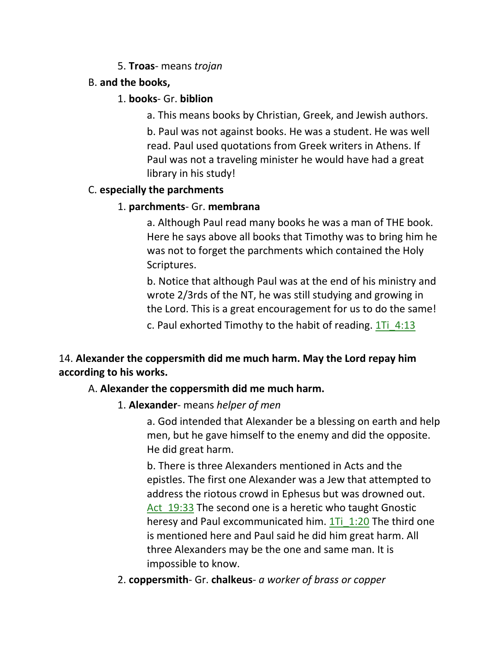## 5. **Troas**- means *trojan*

## B. **and the books,**

## 1. **books**- Gr. **biblion**

a. This means books by Christian, Greek, and Jewish authors.

b. Paul was not against books. He was a student. He was well read. Paul used quotations from Greek writers in Athens. If Paul was not a traveling minister he would have had a great library in his study!

## C. **especially the parchments**

## 1. **parchments**- Gr. **membrana**

a. Although Paul read many books he was a man of THE book. Here he says above all books that Timothy was to bring him he was not to forget the parchments which contained the Holy Scriptures.

b. Notice that although Paul was at the end of his ministry and wrote 2/3rds of the NT, he was still studying and growing in the Lord. This is a great encouragement for us to do the same!

c. Paul exhorted Timothy to the habit of reading.  $1\bar{1}$  4:13

# 14. **Alexander the coppersmith did me much harm. May the Lord repay him according to his works.**

# A. **Alexander the coppersmith did me much harm.**

1. **Alexander**- means *helper of men*

a. God intended that Alexander be a blessing on earth and help men, but he gave himself to the enemy and did the opposite. He did great harm.

b. There is three Alexanders mentioned in Acts and the epistles. The first one Alexander was a Jew that attempted to address the riotous crowd in Ephesus but was drowned out. Act 19:33 The second one is a heretic who taught Gnostic heresy and Paul excommunicated him. 1Ti 1:20 The third one is mentioned here and Paul said he did him great harm. All three Alexanders may be the one and same man. It is impossible to know.

2. **coppersmith**- Gr. **chalkeus**- *a worker of brass or copper*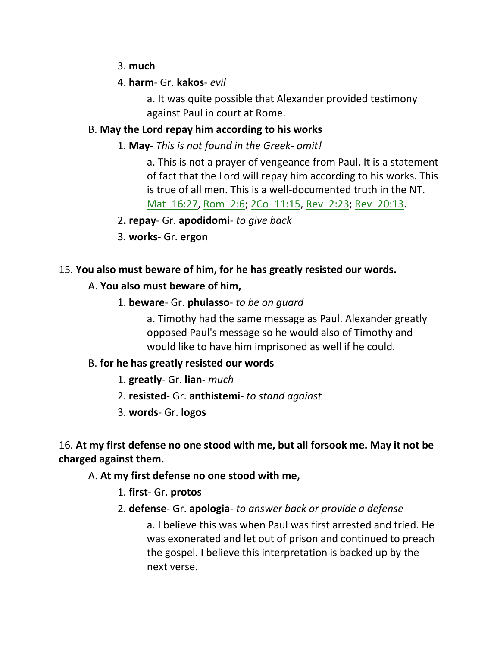- 3. **much**
- 4. **harm** Gr. **kakos** *evil*

a. It was quite possible that Alexander provided testimony against Paul in court at Rome.

# B. **May the Lord repay him according to his works**

1. **May**- *This is not found in the Greek- omit!* 

a. This is not a prayer of vengeance from Paul. It is a statement of fact that the Lord will repay him according to his works. This is true of all men. This is a well-documented truth in the NT. Mat\_16:27, Rom\_2:6; 2Co\_11:15, Rev\_2:23; Rev\_20:13.

- 2**. repay** Gr. **apodidomi** *to give back*
- 3. **works** Gr. **ergon**

# 15. **You also must beware of him, for he has greatly resisted our words.**

# A. **You also must beware of him,**

1. **beware**- Gr. **phulasso**- *to be on guard*

a. Timothy had the same message as Paul. Alexander greatly opposed Paul's message so he would also of Timothy and would like to have him imprisoned as well if he could.

# B. **for he has greatly resisted our words**

- 1. **greatly** Gr. **lian-** *much*
- 2. **resisted** Gr. **anthistemi** *to stand against*
- 3. **words** Gr. **logos**

16. **At my first defense no one stood with me, but all forsook me. May it not be charged against them.**

# A. **At my first defense no one stood with me,**

- 1. **first** Gr. **protos**
- 2. **defense** Gr. **apologia** *to answer back or provide a defense*

a. I believe this was when Paul was first arrested and tried. He was exonerated and let out of prison and continued to preach the gospel. I believe this interpretation is backed up by the next verse.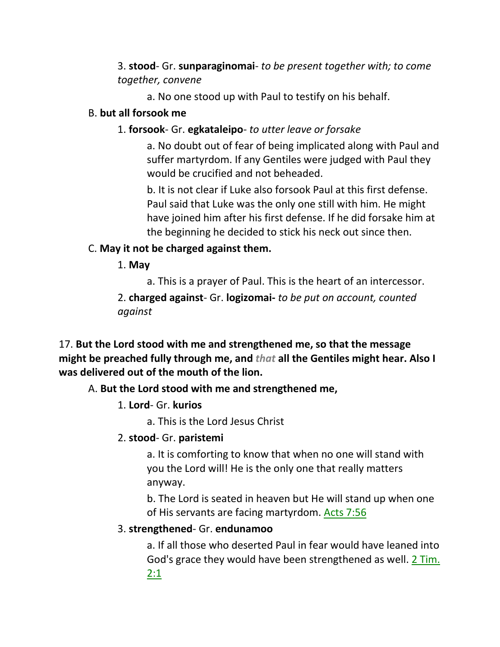3. **stood**- Gr. **sunparaginomai**- *to be present together with; to come together, convene*

a. No one stood up with Paul to testify on his behalf.

## B. **but all forsook me**

# 1. **forsook**- Gr. **egkataleipo**- *to utter leave or forsake*

a. No doubt out of fear of being implicated along with Paul and suffer martyrdom. If any Gentiles were judged with Paul they would be crucified and not beheaded.

b. It is not clear if Luke also forsook Paul at this first defense. Paul said that Luke was the only one still with him. He might have joined him after his first defense. If he did forsake him at the beginning he decided to stick his neck out since then.

# C. **May it not be charged against them.**

1. **May**

a. This is a prayer of Paul. This is the heart of an intercessor. 2. **charged against**- Gr. **logizomai-** *to be put on account, counted against*

17. **But the Lord stood with me and strengthened me, so that the message might be preached fully through me, and** *that* **all the Gentiles might hear. Also I was delivered out of the mouth of the lion.** 

# A. **But the Lord stood with me and strengthened me,**

1. **Lord**- Gr. **kurios**

a. This is the Lord Jesus Christ

# 2. **stood**- Gr. **paristemi**

a. It is comforting to know that when no one will stand with you the Lord will! He is the only one that really matters anyway.

b. The Lord is seated in heaven but He will stand up when one of His servants are facing martyrdom. Acts 7:56

# 3. **strengthened**- Gr. **endunamoo**

a. If all those who deserted Paul in fear would have leaned into God's grace they would have been strengthened as well. 2 Tim. 2:1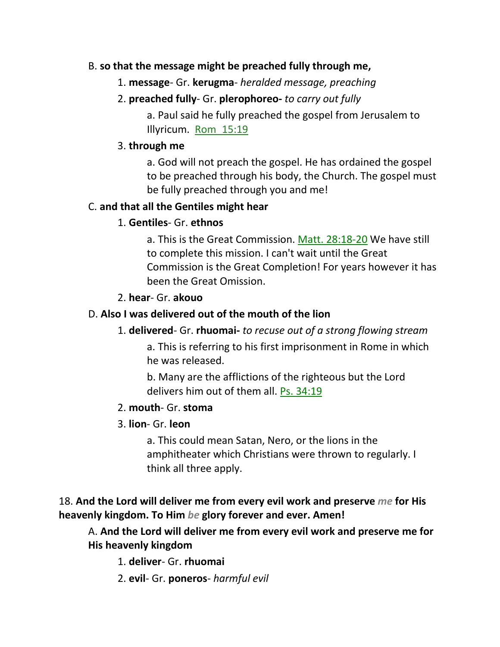## B. **so that the message might be preached fully through me,**

1. **message**- Gr. **kerugma**- *heralded message, preaching*

# 2. **preached fully**- Gr. **plerophoreo-** *to carry out fully*

a. Paul said he fully preached the gospel from Jerusalem to Illyricum. Rom 15:19

## 3. **through me**

a. God will not preach the gospel. He has ordained the gospel to be preached through his body, the Church. The gospel must be fully preached through you and me!

## C. **and that all the Gentiles might hear**

# 1. **Gentiles**- Gr. **ethnos**

a. This is the Great Commission. Matt. 28:18-20 We have still to complete this mission. I can't wait until the Great Commission is the Great Completion! For years however it has been the Great Omission.

# 2. **hear**- Gr. **akouo**

# D. **Also I was delivered out of the mouth of the lion**

# 1. **delivered**- Gr. **rhuomai-** *to recuse out of a strong flowing stream*

a. This is referring to his first imprisonment in Rome in which he was released.

b. Many are the afflictions of the righteous but the Lord delivers him out of them all. Ps. 34:19

# 2. **mouth**- Gr. **stoma**

# 3. **lion**- Gr. **leon**

a. This could mean Satan, Nero, or the lions in the amphitheater which Christians were thrown to regularly. I think all three apply.

# 18. **And the Lord will deliver me from every evil work and preserve** *me* **for His heavenly kingdom. To Him** *be* **glory forever and ever. Amen!**

A. **And the Lord will deliver me from every evil work and preserve me for His heavenly kingdom**

1. **deliver**- Gr. **rhuomai**

2. **evil**- Gr. **poneros**- *harmful evil*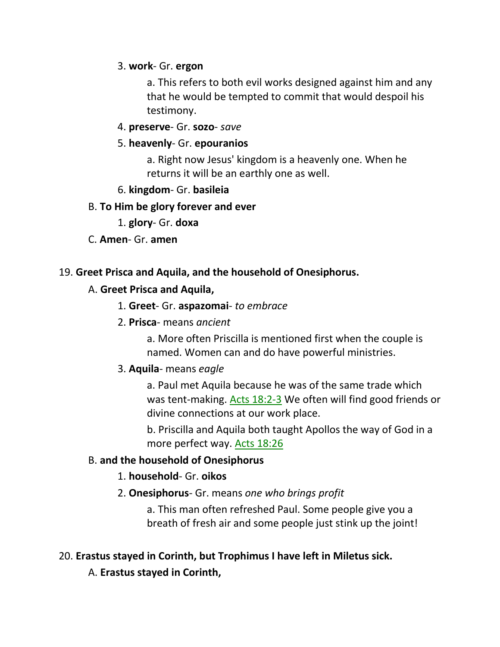### 3. **work**- Gr. **ergon**

a. This refers to both evil works designed against him and any that he would be tempted to commit that would despoil his testimony.

## 4. **preserve**- Gr. **sozo**- *save*

## 5. **heavenly**- Gr. **epouranios**

a. Right now Jesus' kingdom is a heavenly one. When he returns it will be an earthly one as well.

## 6. **kingdom**- Gr. **basileia**

## B. **To Him be glory forever and ever**

- 1. **glory** Gr. **doxa**
- C. **Amen** Gr. **amen**

## 19. **Greet Prisca and Aquila, and the household of Onesiphorus.**

# A. **Greet Prisca and Aquila,**

- 1. **Greet** Gr. **aspazomai** *to embrace*
- 2. **Prisca** means *ancient*

a. More often Priscilla is mentioned first when the couple is named. Women can and do have powerful ministries.

# 3. **Aquila**- means *eagle*

a. Paul met Aquila because he was of the same trade which was tent-making. Acts 18:2-3 We often will find good friends or divine connections at our work place.

b. Priscilla and Aquila both taught Apollos the way of God in a more perfect way. Acts 18:26

# B. **and the household of Onesiphorus**

# 1. **household**- Gr. **oikos**

2. **Onesiphorus**- Gr. means *one who brings profit*

a. This man often refreshed Paul. Some people give you a breath of fresh air and some people just stink up the joint!

# 20. **Erastus stayed in Corinth, but Trophimus I have left in Miletus sick.**

A. **Erastus stayed in Corinth,**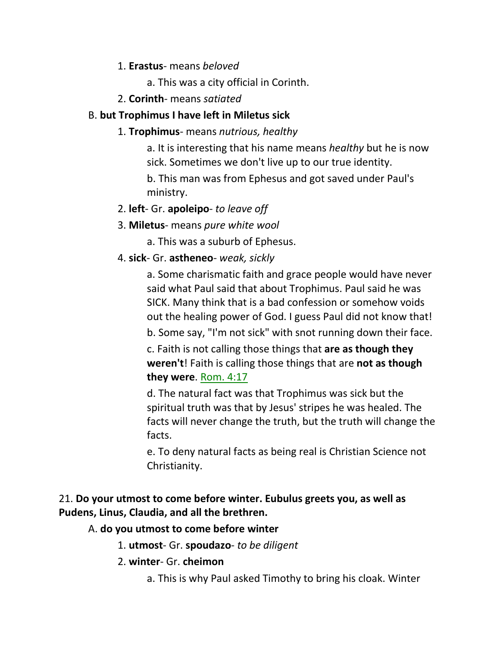- 1. **Erastus** means *beloved*
	- a. This was a city official in Corinth.
- 2. **Corinth** means *satiated*

# B. **but Trophimus I have left in Miletus sick**

1. **Trophimus**- means *nutrious, healthy*

a. It is interesting that his name means *healthy* but he is now sick. Sometimes we don't live up to our true identity.

b. This man was from Ephesus and got saved under Paul's ministry.

- 2. **left** Gr. **apoleipo** *to leave off*
- 3. **Miletus** means *pure white wool*

a. This was a suburb of Ephesus.

4. **sick**- Gr. **astheneo**- *weak, sickly*

a. Some charismatic faith and grace people would have never said what Paul said that about Trophimus. Paul said he was SICK. Many think that is a bad confession or somehow voids out the healing power of God. I guess Paul did not know that!

b. Some say, "I'm not sick" with snot running down their face.

c. Faith is not calling those things that **are as though they weren't**! Faith is calling those things that are **not as though they were**. Rom. 4:17

d. The natural fact was that Trophimus was sick but the spiritual truth was that by Jesus' stripes he was healed. The facts will never change the truth, but the truth will change the facts.

e. To deny natural facts as being real is Christian Science not Christianity.

# 21. **Do your utmost to come before winter. Eubulus greets you, as well as Pudens, Linus, Claudia, and all the brethren.**

# A. **do you utmost to come before winter**

- 1. **utmost** Gr. **spoudazo** *to be diligent*
- 2. **winter** Gr. **cheimon**
	- a. This is why Paul asked Timothy to bring his cloak. Winter